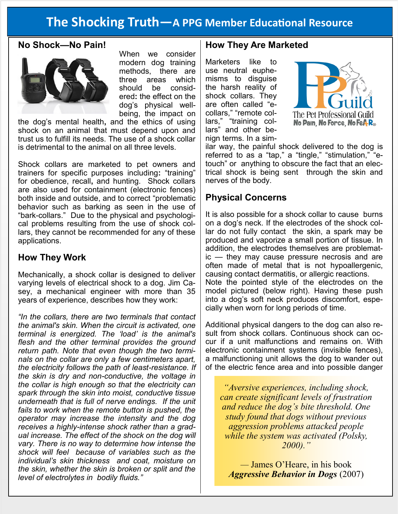# **The Shocking Truth—A PPG Member Educational Resource**

### **No Shock—No Pain!**



When we consider modern dog training methods, there are three areas which should be considered**:** the effect on the dog's physical wellbeing, the impact on

the dog's mental health**,** and the ethics of using shock on an animal that must depend upon and trust us to fulfill its needs. The use of a shock collar is detrimental to the animal on all three levels.

Shock collars are marketed to pet owners and trainers for specific purposes including**:** "training" for obedience, recall**,** and hunting. Shock collars are also used for containment (electronic fences) both inside and outside, and to correct "problematic behavior such as barking as seen in the use of "bark-collars." Due to the physical and psychological problems resulting from the use of shock collars, they cannot be recommended for any of these applications.

#### **How They Work**

Mechanically, a shock collar is designed to deliver varying levels of electrical shock to a dog. Jim Casey, a mechanical engineer with more than 35 years of experience, describes how they work:

*"In the collars, there are two terminals that contact the animal's skin. When the circuit is activated, one terminal is energized. The 'load' is the animal's flesh and the other terminal provides the ground return path. Note that even though the two terminals on the collar are only a few centimeters apart, the electricity follows the path of least-resistance. If the skin is dry and non-conductive, the voltage in the collar is high enough so that the electricity can spark through the skin into moist, conductive tissue underneath that is full of nerve endings. If the unit fails to work when the remote button is pushed, the operator may increase the intensity and the dog receives a highly-intense shock rather than a gradual increase. The effect of the shock on the dog will vary. There is no way to determine how intense the shock will feel because of variables such as the individual's skin thickness and coat, moisture on the skin, whether the skin is broken or split and the level of electrolytes in bodily fluids."*

### **How They Are Marketed**

Marketers like to use neutral euphemisms to disguise the harsh reality of shock collars. They are often called "ecollars," "remote collars," "training collars" and other benign terms. In a sim-



ilar way, the painful shock delivered to the dog is referred to as a "tap," a "tingle," "stimulation," "etouch" or anything to obscure the fact that an electrical shock is being sent through the skin and nerves of the body.

#### **Physical Concerns**

It is also possible for a shock collar to cause burns on a dog's neck. If the electrodes of the shock collar do not fully contact the skin, a spark may be produced and vaporize a small portion of tissue. In addition, the electrodes themselves are problematic — they may cause pressure necrosis and are often made of metal that is not hypoallergenic, causing contact dermatitis, or allergic reactions. Note the pointed style of the electrodes on the model pictured (below right). Having these push into a dog's soft neck produces discomfort, especially when worn for long periods of time.

Additional physical dangers to the dog can also result from shock collars. Continuous shock can occur if a unit malfunctions and remains on. With electronic containment systems (invisible fences), a malfunctioning unit allows the dog to wander out of the electric fence area and into possible danger

*"Aversive experiences, including shock, can create significant levels of frustration and reduce the dog's bite threshold. One study found that dogs without previous aggression problems attacked people while the system was activated (Polsky, 2000)."*

*—* James O'Heare, in his book *Aggressive Behavior in Dogs* (2007)